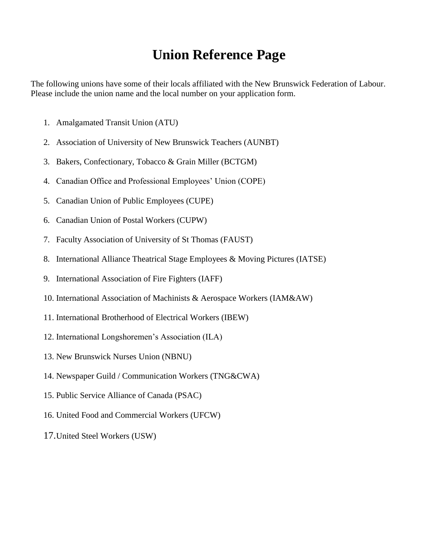## **Union Reference Page**

The following unions have some of their locals affiliated with the New Brunswick Federation of Labour. Please include the union name and the local number on your application form.

- 1. Amalgamated Transit Union (ATU)
- 2. Association of University of New Brunswick Teachers (AUNBT)
- 3. Bakers, Confectionary, Tobacco & Grain Miller (BCTGM)
- 4. Canadian Office and Professional Employees' Union (COPE)
- 5. Canadian Union of Public Employees (CUPE)
- 6. Canadian Union of Postal Workers (CUPW)
- 7. Faculty Association of University of St Thomas (FAUST)
- 8. International Alliance Theatrical Stage Employees & Moving Pictures (IATSE)
- 9. International Association of Fire Fighters (IAFF)
- 10. International Association of Machinists & Aerospace Workers (IAM&AW)
- 11. International Brotherhood of Electrical Workers (IBEW)
- 12. International Longshoremen's Association (ILA)
- 13. New Brunswick Nurses Union (NBNU)
- 14. Newspaper Guild / Communication Workers (TNG&CWA)
- 15. Public Service Alliance of Canada (PSAC)
- 16. United Food and Commercial Workers (UFCW)
- 17.United Steel Workers (USW)